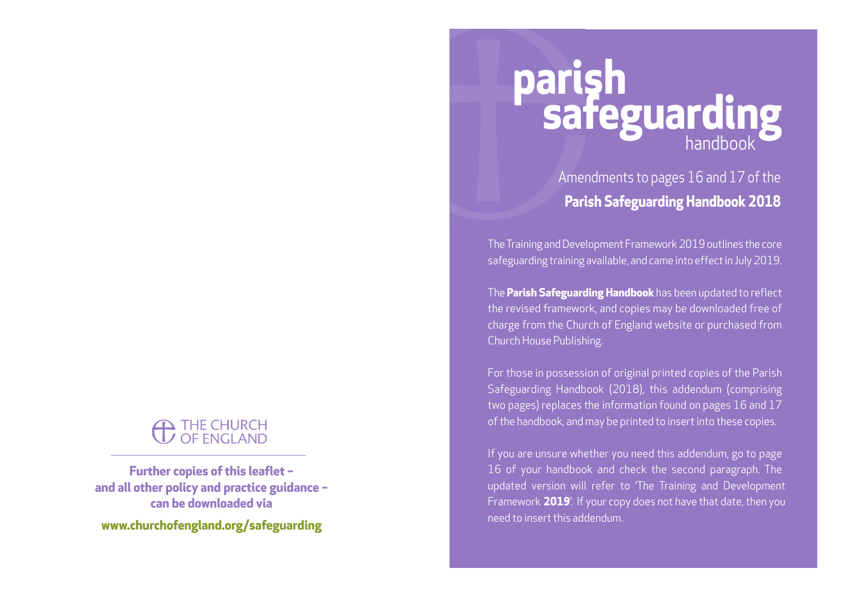## **D** THE CHURCH

**Further copies of this leaflet – and all other policy and practice guidance – can be downloaded via**

**www.churchofengland.org/safeguarding**

# **parish safeguarding** handbook

Amendments to pages 16 and 17 of the **Parish Safeguarding Handbook 2018**

The Training and Development Framework 2019 outlines the core safeguarding training available, and came into effect in July 2019.

The **Parish Safeguarding Handbook** has been updated to reflect the revised framework, and copies may be downloaded free of charge from the Church of England website or purchased from Church House Publishing.

For those in possession of original printed copies of the Parish Safeguarding Handbook (2018), this addendum (comprising two pages) replaces the information found on pages 16 and 17 of the handbook, and may be printed to insert into these copies.

If you are unsure whether you need this addendum, go to page 16 of your handbook and check the second paragraph. The updated version will refer to 'The Training and Development Framework **2019**'. If your copy does not have that date, then you need to insert this addendum.